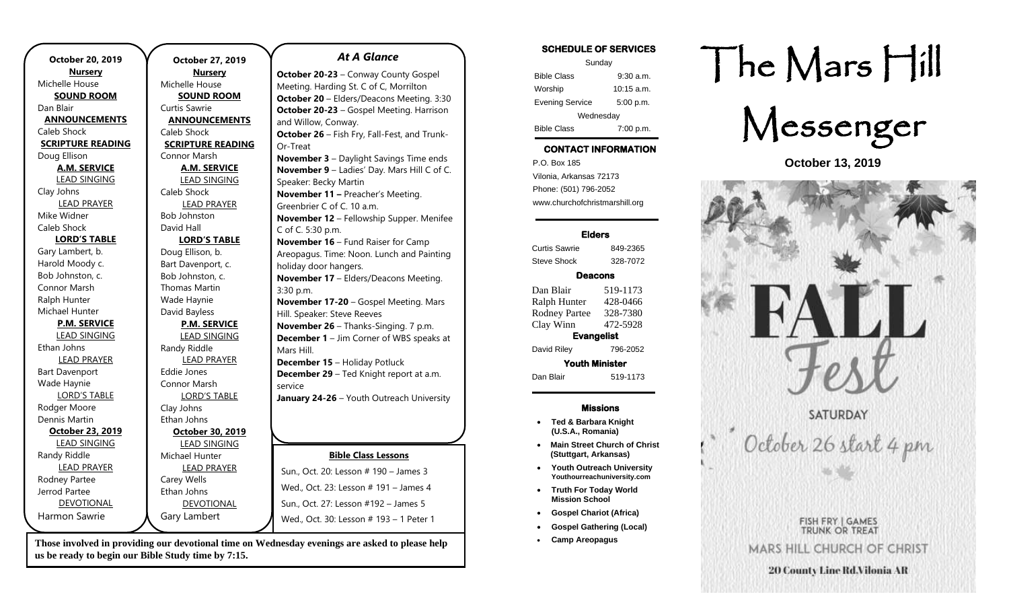| October 20, 2019         |  |
|--------------------------|--|
| <b>Nursery</b>           |  |
| Michelle House           |  |
| <b>SOUND ROOM</b>        |  |
| Dan Blair                |  |
| <b>ANNOUNCEMENTS</b>     |  |
| Caleb Shock              |  |
| <b>SCRIPTURE READING</b> |  |
| Doug Ellison             |  |
| <b>A.M. SERVICE</b>      |  |
| <b>LEAD SINGING</b>      |  |
| Clay Johns               |  |
| <b>LEAD PRAYER</b>       |  |
| Mike Widner              |  |
| Caleb Shock              |  |
| <b>LORD'S TABLE</b>      |  |
| Gary Lambert, b.         |  |
| Harold Moody c.          |  |
| Bob Johnston, c.         |  |
| Connor Marsh             |  |
| Ralph Hunter             |  |
| Michael Hunter           |  |
| <b>P.M. SERVICE</b>      |  |
| <b>LEAD SINGING</b>      |  |
| Ethan Johns              |  |
| <b>LEAD PRAYER</b>       |  |
| <b>Bart Davenport</b>    |  |
| Wade Haynie              |  |
| <b>LORD'S TABLE</b>      |  |
| Rodger Moore             |  |
| Dennis Martin            |  |
| October 23, 2019         |  |
| <b>LEAD SINGING</b>      |  |
| Randy Riddle             |  |
| <b>LEAD PRAYER</b>       |  |
| Rodney Partee            |  |
| Jerrod Partee            |  |
| <b>DEVOTIONAL</b>        |  |
| Harmon Sawrie            |  |

**October 27, 2019 Nursery** Michelle House **SOUND ROOM** Curtis Sawrie **ANNOUNCEMENTS** Caleb Shock **SCRIPTURE READING** Connor Marsh **A.M. SERVICE** LEAD SINGING Caleb Shock LEAD PRAYER Bob Johnston David Hall **LORD'S TABLE** Doug Ellison, b. Bart Davenport, c. Bob Johnston, c. Thomas Martin Wade Haynie David Bayless **P.M. SERVICE** LEAD SINGING Randy Riddle LEAD PRAYER Eddie Jones Connor Marsh LORD'S TABLE Clay Johns Ethan Johns **October 30, 2019** LEAD SINGING Michael Hunter LEAD PRAYER Carey Wells Ethan Johns DEVOTIONAL Gary Lambert Or-Treat 3:30 p.m. Mars Hill. service Wed., Oct. 23: Lesson # 191 – James 4 Sun., Oct. 27: Lesson #192 – James 5 Wed., Oct. 30: Lesson # 193 – 1 Peter 1

**Those involved in providing our devotional time on Wednesday evenings are asked to please help us be ready to begin our Bible Study time by 7:15.** 

**October 20-23** – Conway County Gospel Meeting. Harding St. C of C, Morrilton **October 20** – Elders/Deacons Meeting. 3:30 **October 20-23** – Gospel Meeting. Harrison and Willow, Conway. **October 26** – Fish Fry, Fall-Fest, and Trunk-**November 3** – Daylight Savings Time ends **November 9** – Ladies' Day. Mars Hill C of C. Speaker: Becky Martin **November 11 –** Preacher's Meeting. Greenbrier C of C. 10 a.m. **November 12** – Fellowship Supper. Menifee C of C. 5:30 p.m. **November 16 – Fund Raiser for Camp** Areopagus. Time: Noon. Lunch and Painting holiday door hangers. **November 17** – Elders/Deacons Meeting. **November 17-20** – Gospel Meeting. Mars Hill. Speaker: Steve Reeves **November 26** – Thanks-Singing. 7 p.m. **December 1** – Jim Corner of WBS speaks at **December 15** – Holiday Potluck **December 29** – Ted Knight report at a.m. **January 24-26** – Youth Outreach University **Bible Class Lessons** Sun., Oct. 20: Lesson # 190 – James 3

*At A Glance* 

**SCHEDULE OF SERVICES** 

| Sunday                 |              |  |
|------------------------|--------------|--|
| <b>Bible Class</b>     | $9:30$ a.m.  |  |
| Worship                | $10:15$ a.m. |  |
| <b>Evening Service</b> | 5:00 p.m.    |  |
| Wednesday              |              |  |
| <b>Bible Class</b>     | 7:00 p.m.    |  |

# **CONTACT INFORMATION**

. .o. Box 166<br>Vilonia, Arkansas 72173 P.O. Box 185 Phone: (501) 796-2052 www.churchofchristmarshill.org

#### **Elders**

Curtis Sawrie 849-2365 Steve Shock 328-7072

#### **Deacons**

Dan Blair 519-1173 Ralph Hunter 428-0466 Rodney Partee 328-7380 Clay Winn 472-5928 **Evangelist**  David Riley 796-2052 **Youth Minister** 

Dan Blair 519-1173

#### **Missions**

- **Ted & Barbara Knight (U.S.A., Romania)**
- **Main Street Church of Christ (Stuttgart, Arkansas)**
- **Youth Outreach University Youthourreachuniversity.com**
- **Truth For Today World Mission School**
- **Gospel Chariot (Africa)**
- **Gospel Gathering (Local)**
- **Camp Areopagus**

# The Mars Hill



**October 13, 2019**